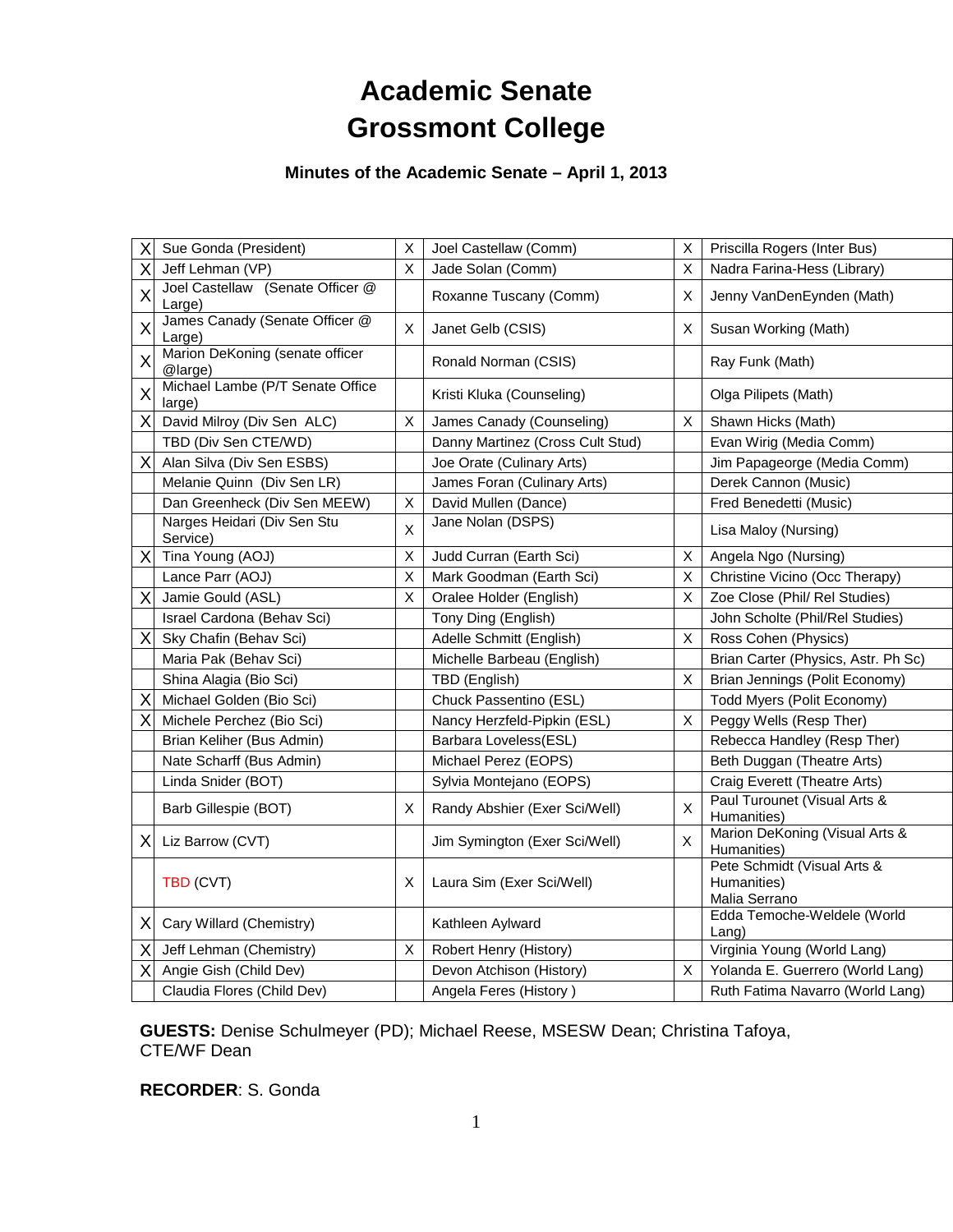# **Academic Senate Grossmont College**

## **Minutes of the Academic Senate – April 1, 2013**

| X | Sue Gonda (President)                      | Χ              | Joel Castellaw (Comm)            | Χ | Priscilla Rogers (Inter Bus)                                |
|---|--------------------------------------------|----------------|----------------------------------|---|-------------------------------------------------------------|
| Х | Jeff Lehman (VP)                           | $\mathsf X$    | Jade Solan (Comm)                | X | Nadra Farina-Hess (Library)                                 |
| X | Joel Castellaw (Senate Officer @<br>Large) |                | Roxanne Tuscany (Comm)           | X | Jenny VanDenEynden (Math)                                   |
| X | James Canady (Senate Officer @<br>Large)   | X              | Janet Gelb (CSIS)                | X | Susan Working (Math)                                        |
| X | Marion DeKoning (senate officer<br>@large) |                | Ronald Norman (CSIS)             |   | Ray Funk (Math)                                             |
| X | Michael Lambe (P/T Senate Office<br>large) |                | Kristi Kluka (Counseling)        |   | Olga Pilipets (Math)                                        |
| Χ | David Milroy (Div Sen ALC)                 | X              | James Canady (Counseling)        | X | Shawn Hicks (Math)                                          |
|   | TBD (Div Sen CTE/WD)                       |                | Danny Martinez (Cross Cult Stud) |   | Evan Wirig (Media Comm)                                     |
| Χ | Alan Silva (Div Sen ESBS)                  |                | Joe Orate (Culinary Arts)        |   | Jim Papageorge (Media Comm)                                 |
|   | Melanie Quinn (Div Sen LR)                 |                | James Foran (Culinary Arts)      |   | Derek Cannon (Music)                                        |
|   | Dan Greenheck (Div Sen MEEW)               | х              | David Mullen (Dance)             |   | Fred Benedetti (Music)                                      |
|   | Narges Heidari (Div Sen Stu<br>Service)    | X              | Jane Nolan (DSPS)                |   | Lisa Maloy (Nursing)                                        |
|   | Tina Young (AOJ)                           | X              | Judd Curran (Earth Sci)          | х | Angela Ngo (Nursing)                                        |
|   | Lance Parr (AOJ)                           | $\pmb{\times}$ | Mark Goodman (Earth Sci)         | X | Christine Vicino (Occ Therapy)                              |
| Χ | Jamie Gould (ASL)                          | X              | Oralee Holder (English)          | X | Zoe Close (Phil/ Rel Studies)                               |
|   | Israel Cardona (Behav Sci)                 |                | Tony Ding (English)              |   | John Scholte (Phil/Rel Studies)                             |
| Χ | Sky Chafin (Behav Sci)                     |                | Adelle Schmitt (English)         | X | Ross Cohen (Physics)                                        |
|   | Maria Pak (Behav Sci)                      |                | Michelle Barbeau (English)       |   | Brian Carter (Physics, Astr. Ph Sc)                         |
|   | Shina Alagia (Bio Sci)                     |                | TBD (English)                    | X | Brian Jennings (Polit Economy)                              |
| Х | Michael Golden (Bio Sci)                   |                | Chuck Passentino (ESL)           |   | Todd Myers (Polit Economy)                                  |
| х | Michele Perchez (Bio Sci)                  |                | Nancy Herzfeld-Pipkin (ESL)      | X | Peggy Wells (Resp Ther)                                     |
|   | Brian Keliher (Bus Admin)                  |                | Barbara Loveless(ESL)            |   | Rebecca Handley (Resp Ther)                                 |
|   | Nate Scharff (Bus Admin)                   |                | Michael Perez (EOPS)             |   | Beth Duggan (Theatre Arts)                                  |
|   | Linda Snider (BOT)                         |                | Sylvia Montejano (EOPS)          |   | Craig Everett (Theatre Arts)                                |
|   | Barb Gillespie (BOT)                       | X              | Randy Abshier (Exer Sci/Well)    | X | Paul Turounet (Visual Arts &<br>Humanities)                 |
| х | Liz Barrow (CVT)                           |                | Jim Symington (Exer Sci/Well)    | X | Marion DeKoning (Visual Arts &<br>Humanities)               |
|   | TBD (CVT)                                  | X              | Laura Sim (Exer Sci/Well)        |   | Pete Schmidt (Visual Arts &<br>Humanities)<br>Malia Serrano |
| X | Cary Willard (Chemistry)                   |                | Kathleen Aylward                 |   | Edda Temoche-Weldele (World<br>$L$ ang)                     |
| Χ | Jeff Lehman (Chemistry)                    | X              | Robert Henry (History)           |   | Virginia Young (World Lang)                                 |
| Х | Angie Gish (Child Dev)                     |                | Devon Atchison (History)         | X | Yolanda E. Guerrero (World Lang)                            |
|   | Claudia Flores (Child Dev)                 |                | Angela Feres (History)           |   | Ruth Fatima Navarro (World Lang)                            |

**GUESTS:** Denise Schulmeyer (PD); Michael Reese, MSESW Dean; Christina Tafoya, CTE/WF Dean

**RECORDER**: S. Gonda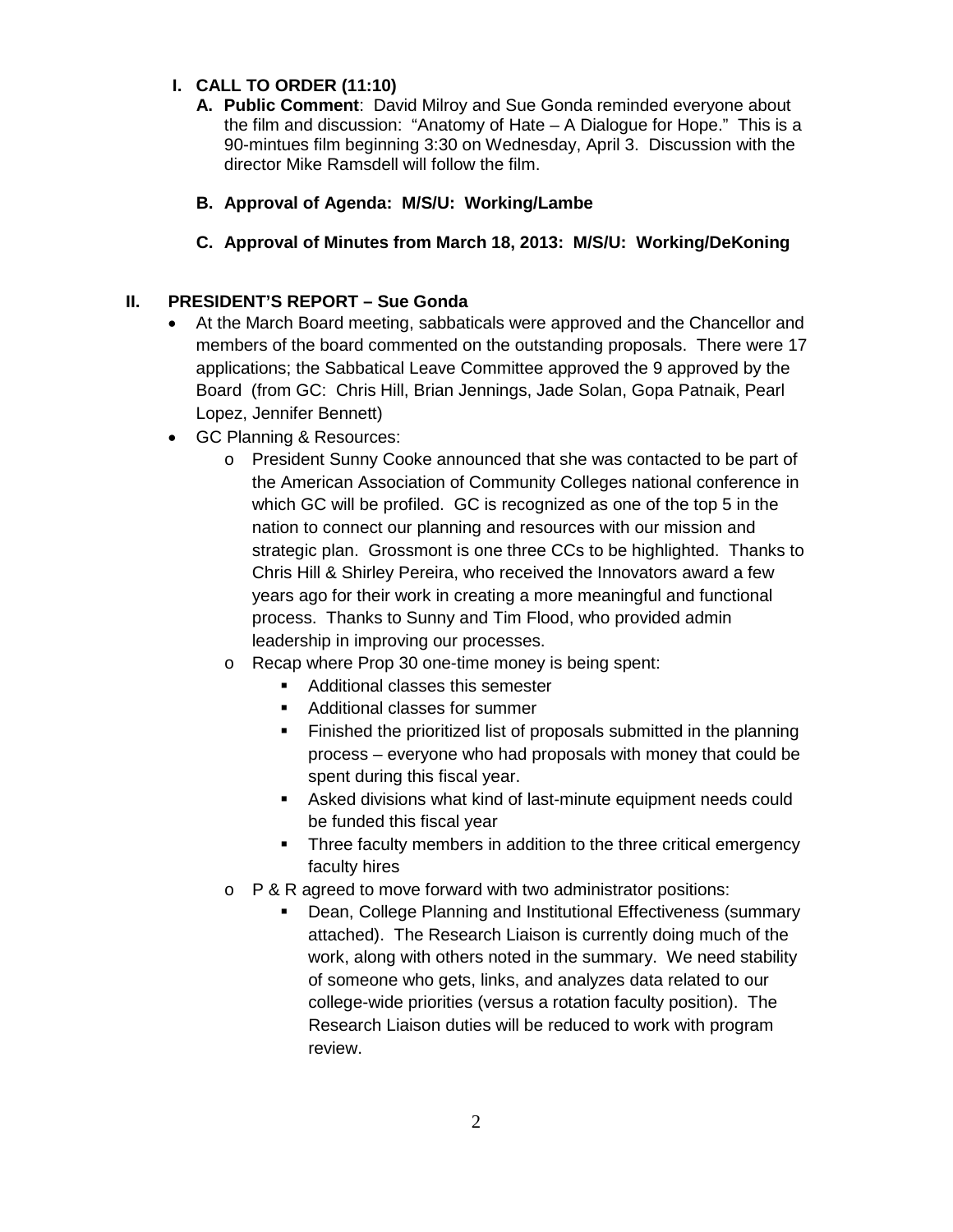## **I. CALL TO ORDER (11:10)**

- **A. Public Comment**: David Milroy and Sue Gonda reminded everyone about the film and discussion: "Anatomy of Hate – A Dialogue for Hope." This is a 90-mintues film beginning 3:30 on Wednesday, April 3. Discussion with the director Mike Ramsdell will follow the film.
- **B. Approval of Agenda: M/S/U: Working/Lambe**
- **C. Approval of Minutes from March 18, 2013: M/S/U: Working/DeKoning**

## **II. PRESIDENT'S REPORT – Sue Gonda**

- At the March Board meeting, sabbaticals were approved and the Chancellor and members of the board commented on the outstanding proposals. There were 17 applications; the Sabbatical Leave Committee approved the 9 approved by the Board (from GC: Chris Hill, Brian Jennings, Jade Solan, Gopa Patnaik, Pearl Lopez, Jennifer Bennett)
- GC Planning & Resources:
	- o President Sunny Cooke announced that she was contacted to be part of the American Association of Community Colleges national conference in which GC will be profiled. GC is recognized as one of the top 5 in the nation to connect our planning and resources with our mission and strategic plan. Grossmont is one three CCs to be highlighted. Thanks to Chris Hill & Shirley Pereira, who received the Innovators award a few years ago for their work in creating a more meaningful and functional process. Thanks to Sunny and Tim Flood, who provided admin leadership in improving our processes.
	- o Recap where Prop 30 one-time money is being spent:
		- Additional classes this semester
		- **Additional classes for summer**
		- Finished the prioritized list of proposals submitted in the planning process – everyone who had proposals with money that could be spent during this fiscal year.
		- Asked divisions what kind of last-minute equipment needs could be funded this fiscal year
		- Three faculty members in addition to the three critical emergency faculty hires
	- o P & R agreed to move forward with two administrator positions:
		- **Dean, College Planning and Institutional Effectiveness (summary** attached). The Research Liaison is currently doing much of the work, along with others noted in the summary. We need stability of someone who gets, links, and analyzes data related to our college-wide priorities (versus a rotation faculty position). The Research Liaison duties will be reduced to work with program review.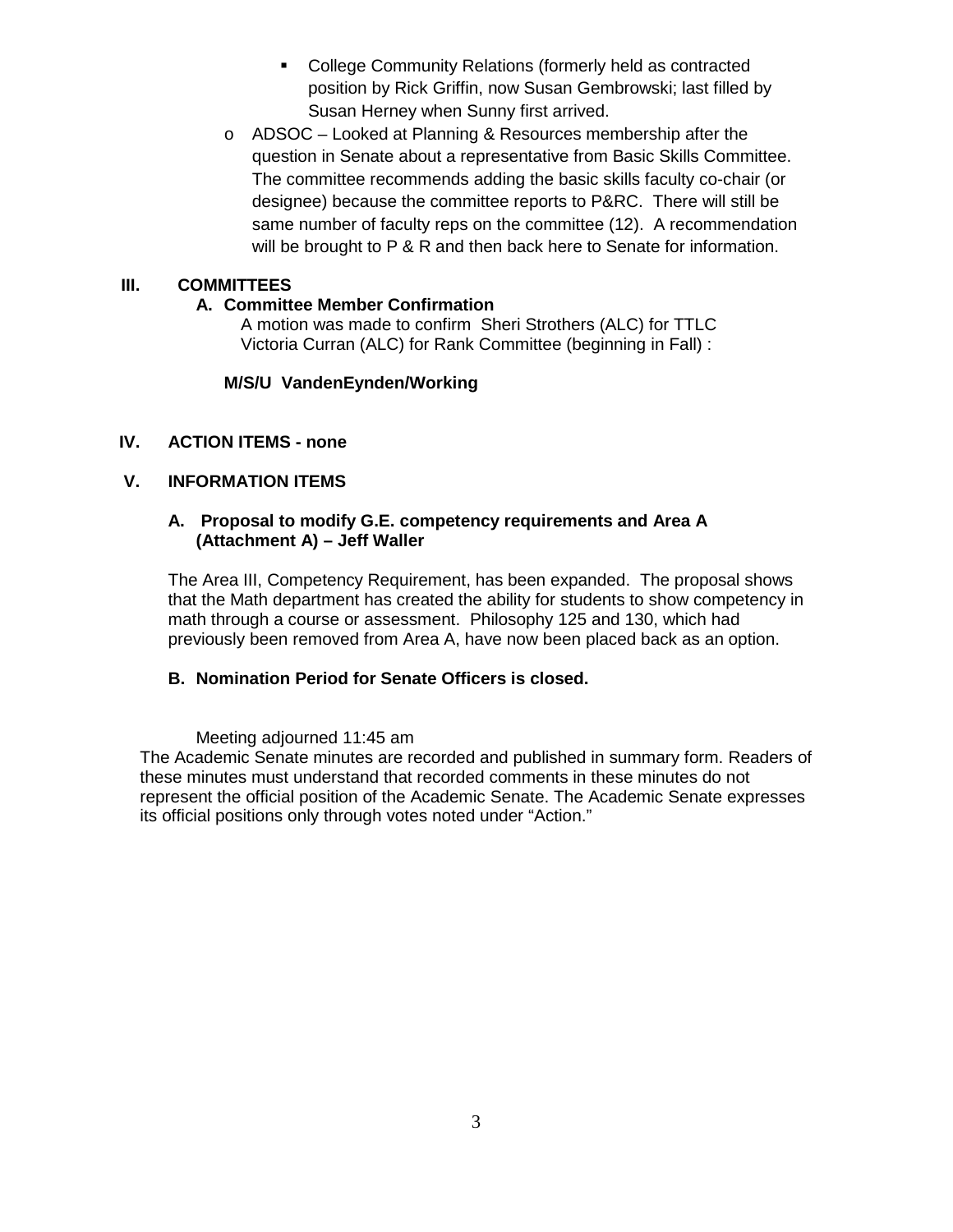- **EXECO COMMUNITY Relations (formerly held as contracted COMMUNITY** position by Rick Griffin, now Susan Gembrowski; last filled by Susan Herney when Sunny first arrived.
- o ADSOC Looked at Planning & Resources membership after the question in Senate about a representative from Basic Skills Committee. The committee recommends adding the basic skills faculty co-chair (or designee) because the committee reports to P&RC. There will still be same number of faculty reps on the committee (12). A recommendation will be brought to P & R and then back here to Senate for information.

## **III. COMMITTEES**

## **A. Committee Member Confirmation**

A motion was made to confirm Sheri Strothers (ALC) for TTLC Victoria Curran (ALC) for Rank Committee (beginning in Fall) :

## **M/S/U VandenEynden/Working**

## **IV. ACTION ITEMS - none**

## **V. INFORMATION ITEMS**

#### **A. Proposal to modify G.E. competency requirements and Area A (Attachment A) – Jeff Waller**

The Area III, Competency Requirement, has been expanded. The proposal shows that the Math department has created the ability for students to show competency in math through a course or assessment. Philosophy 125 and 130, which had previously been removed from Area A, have now been placed back as an option.

## **B. Nomination Period for Senate Officers is closed.**

Meeting adjourned 11:45 am

The Academic Senate minutes are recorded and published in summary form. Readers of these minutes must understand that recorded comments in these minutes do not represent the official position of the Academic Senate. The Academic Senate expresses its official positions only through votes noted under "Action."